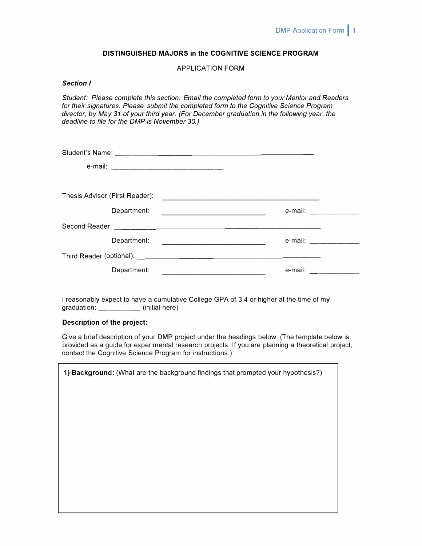## **DISTINGUISHED MAJORS in the COGNITIVE SCIENCE PROGRAM**

# APPLICATION FORM

### *Section I*

*Student: Please complete this section. Email the completed form to your Mentor and Readers for their signatures. Please submit the completed form to the Cognitive Science Program director, by May 31 of your third year. (For December graduation in the following year, the deadline to file for the DMP is November 30.)* 

| e-mail: ___________________________ |                                                                                                                       |                   |
|-------------------------------------|-----------------------------------------------------------------------------------------------------------------------|-------------------|
|                                     |                                                                                                                       |                   |
| Thesis Advisor (First Reader):      | <u> 1988 - John Amerikaanse kommunister († 1908)</u>                                                                  |                   |
|                                     |                                                                                                                       | e-mail: _________ |
|                                     |                                                                                                                       |                   |
| Department:                         | <u> 1989 - Johann Barn, mars eta bainar eta baina eta baina eta baina eta baina eta baina eta baina eta baina eta</u> | e-mail: _________ |
|                                     |                                                                                                                       |                   |
| Department:                         | e-mail:<br><u> 1989 - Johann Barbara, martxa alemaniar a</u>                                                          |                   |

I reasonably expect to have a cumulative College GPA of 3.4 or higher at the time of my graduation: \_\_\_\_\_\_\_\_ (initial here)

## **Description of the project:**

Give a brief description of your DMP project under the headings below. (The template below is provided as a guide for experimental research projects. If you are planning a theoretical project, contact the Cognitive Science Program for instructions.)

| 1) Background: (What are the background findings that prompted your hypothesis?) |  |  |
|----------------------------------------------------------------------------------|--|--|
|                                                                                  |  |  |
|                                                                                  |  |  |
|                                                                                  |  |  |
|                                                                                  |  |  |
|                                                                                  |  |  |
|                                                                                  |  |  |
|                                                                                  |  |  |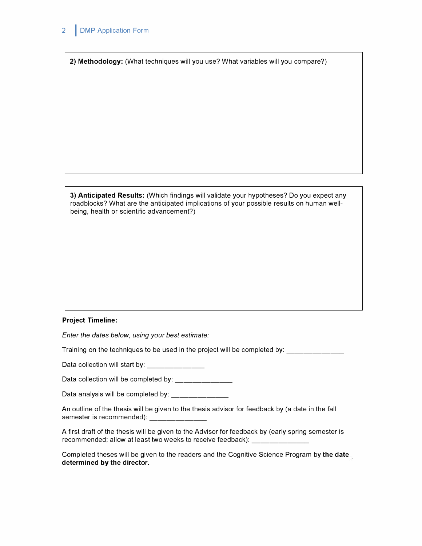**2) Methodology:** (What techniques will you use? What variables will you compare?)

**3) Anticipated Results:** (Which findings will validate your hypotheses? Do you expect any roadblocks? What are the anticipated implications of your possible results on human wellbeing, health or scientific advancement?)

### **Project Timeline:**

*Enter the dates below, using your best estimate:* 

Training on the techniques to be used in the project will be completed by: \_\_\_\_\_\_\_\_\_\_\_

Data collection will start by: \_\_\_\_\_\_\_\_\_\_\_\_\_\_\_

Data collection will be completed by:

Data analysis will be completed by: \_\_\_\_\_\_\_\_\_\_\_\_\_\_\_

An outline of the thesis will be given to the thesis advisor for feedback by (a date in the fall semester is recommended):

A first draft of the thesis will be given to the Advisor for feedback by (early spring semester is recommended; allow at least two weeks to receive feedback): \_\_\_\_\_\_\_\_\_\_\_\_\_\_\_

Completed theses will be given to the readers and the Cognitive Science Program by **the date determined by the director.**